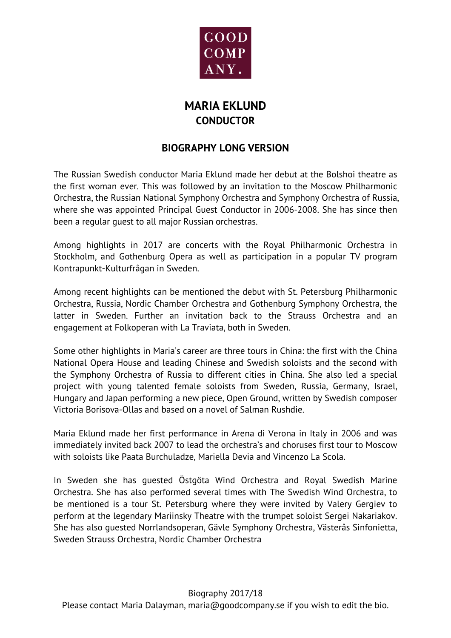

## **MARIA EKLUND CONDUCTOR**

## **BIOGRAPHY LONG VERSION**

The Russian Swedish conductor Maria Eklund made her debut at the Bolshoi theatre as the first woman ever. This was followed by an invitation to the Moscow Philharmonic Orchestra, the Russian National Symphony Orchestra and Symphony Orchestra of Russia, where she was appointed Principal Guest Conductor in 2006-2008. She has since then been a regular guest to all major Russian orchestras.

Among highlights in 2017 are concerts with the Royal Philharmonic Orchestra in Stockholm, and Gothenburg Opera as well as participation in a popular TV program Kontrapunkt-Kulturfrågan in Sweden.

Among recent highlights can be mentioned the debut with St. Petersburg Philharmonic Orchestra, Russia, Nordic Chamber Orchestra and Gothenburg Symphony Orchestra, the latter in Sweden. Further an invitation back to the Strauss Orchestra and an engagement at Folkoperan with La Traviata, both in Sweden.

Some other highlights in Maria's career are three tours in China: the first with the China National Opera House and leading Chinese and Swedish soloists and the second with the Symphony Orchestra of Russia to different cities in China. She also led a special project with young talented female soloists from Sweden, Russia, Germany, Israel, Hungary and Japan performing a new piece, Open Ground, written by Swedish composer Victoria Borisova-Ollas and based on a novel of Salman Rushdie.

Maria Eklund made her first performance in Arena di Verona in Italy in 2006 and was immediately invited back 2007 to lead the orchestra's and choruses first tour to Moscow with soloists like Paata Burchuladze, Mariella Devia and Vincenzo La Scola.

In Sweden she has guested Östgöta Wind Orchestra and Royal Swedish Marine Orchestra. She has also performed several times with The Swedish Wind Orchestra, to be mentioned is a tour St. Petersburg where they were invited by Valery Gergiev to perform at the legendary Mariinsky Theatre with the trumpet soloist Sergei Nakariakov. She has also guested Norrlandsoperan, Gävle Symphony Orchestra, Västerås Sinfonietta, Sweden Strauss Orchestra, Nordic Chamber Orchestra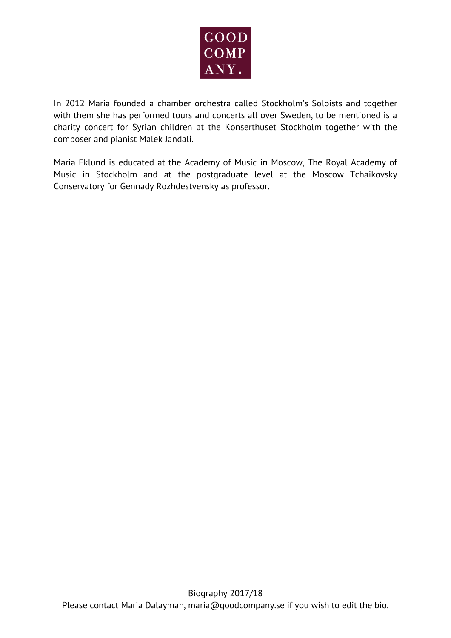

In 2012 Maria founded a chamber orchestra called Stockholm's Soloists and together with them she has performed tours and concerts all over Sweden, to be mentioned is a charity concert for Syrian children at the Konserthuset Stockholm together with the composer and pianist Malek Jandali.

Maria Eklund is educated at the Academy of Music in Moscow, The Royal Academy of Music in Stockholm and at the postgraduate level at the Moscow Tchaikovsky Conservatory for Gennady Rozhdestvensky as professor.